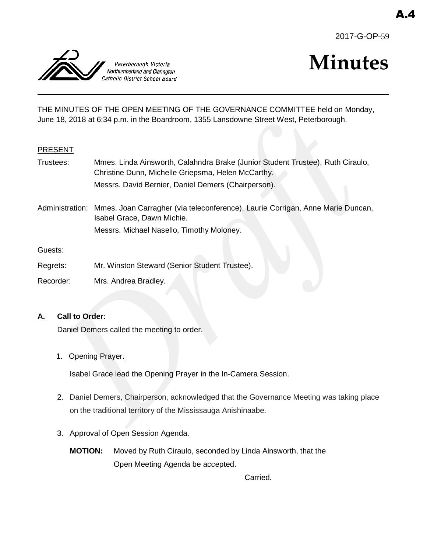



# **Minutes**

THE MINUTES OF THE OPEN MEETING OF THE GOVERNANCE COMMITTEE held on Monday, June 18, 2018 at 6:34 p.m. in the Boardroom, 1355 Lansdowne Street West, Peterborough.

# PRESENT

Trustees: Mmes. Linda Ainsworth, Calahndra Brake (Junior Student Trustee), Ruth Ciraulo, Christine Dunn, Michelle Griepsma, Helen McCarthy. Messrs. David Bernier, Daniel Demers (Chairperson).

Administration: Mmes. Joan Carragher (via teleconference), Laurie Corrigan, Anne Marie Duncan, Isabel Grace, Dawn Michie. Messrs. Michael Nasello, Timothy Moloney.

Guests:

- Regrets: Mr. Winston Steward (Senior Student Trustee).
- Recorder: Mrs. Andrea Bradley.

# **A. Call to Order**:

Daniel Demers called the meeting to order.

1. Opening Prayer.

Isabel Grace lead the Opening Prayer in the In-Camera Session.

- 2. Daniel Demers, Chairperson, acknowledged that the Governance Meeting was taking place on the traditional territory of the Mississauga Anishinaabe.
- 3. Approval of Open Session Agenda.
	- **MOTION:** Moved by Ruth Ciraulo, seconded by Linda Ainsworth, that the Open Meeting Agenda be accepted.

Carried.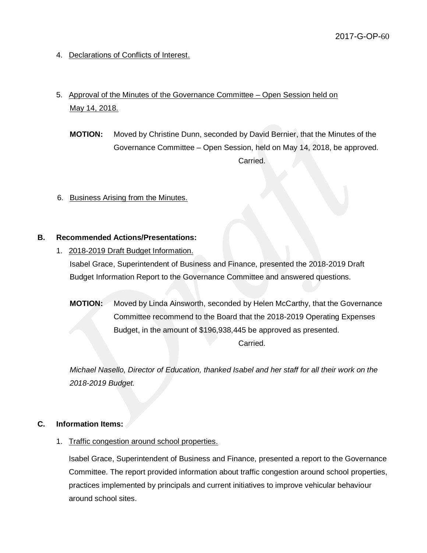- 4. Declarations of Conflicts of Interest.
- 5. Approval of the Minutes of the Governance Committee Open Session held on May 14, 2018.
	- **MOTION:** Moved by Christine Dunn, seconded by David Bernier, that the Minutes of the Governance Committee – Open Session, held on May 14, 2018, be approved. Carried.
- 6. Business Arising from the Minutes.

#### **B. Recommended Actions/Presentations:**

- 1. 2018-2019 Draft Budget Information. Isabel Grace, Superintendent of Business and Finance, presented the 2018-2019 Draft Budget Information Report to the Governance Committee and answered questions.
	- **MOTION:** Moved by Linda Ainsworth, seconded by Helen McCarthy, that the Governance Committee recommend to the Board that the 2018-2019 Operating Expenses Budget, in the amount of \$196,938,445 be approved as presented. Carried.

*Michael Nasello, Director of Education, thanked Isabel and her staff for all their work on the 2018-2019 Budget.*

#### **C. Information Items:**

1. Traffic congestion around school properties.

Isabel Grace, Superintendent of Business and Finance, presented a report to the Governance Committee. The report provided information about traffic congestion around school properties, practices implemented by principals and current initiatives to improve vehicular behaviour around school sites.